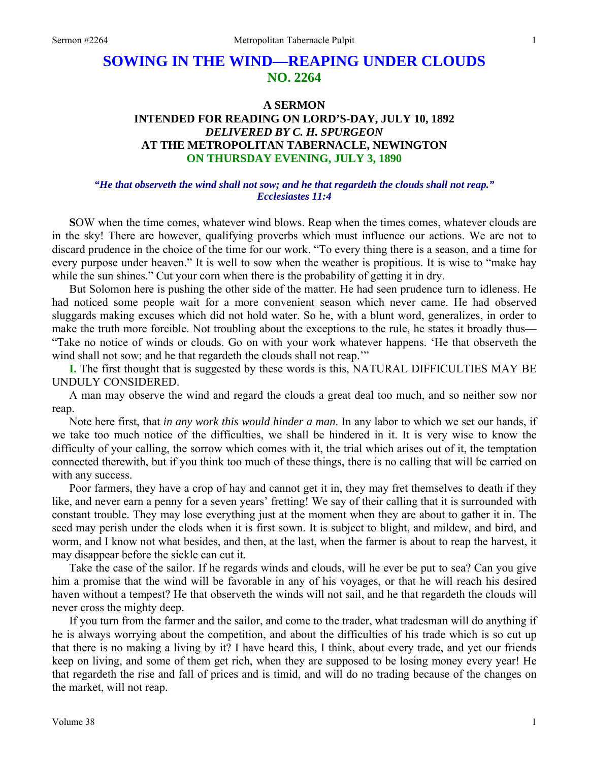# **SOWING IN THE WIND—REAPING UNDER CLOUDS NO. 2264**

## **A SERMON INTENDED FOR READING ON LORD'S-DAY, JULY 10, 1892**  *DELIVERED BY C. H. SPURGEON*  **AT THE METROPOLITAN TABERNACLE, NEWINGTON ON THURSDAY EVENING, JULY 3, 1890**

#### *"He that observeth the wind shall not sow; and he that regardeth the clouds shall not reap." Ecclesiastes 11:4*

**S**OW when the time comes, whatever wind blows. Reap when the times comes, whatever clouds are in the sky! There are however, qualifying proverbs which must influence our actions. We are not to discard prudence in the choice of the time for our work. "To every thing there is a season, and a time for every purpose under heaven." It is well to sow when the weather is propitious. It is wise to "make hay while the sun shines." Cut your corn when there is the probability of getting it in dry.

But Solomon here is pushing the other side of the matter. He had seen prudence turn to idleness. He had noticed some people wait for a more convenient season which never came. He had observed sluggards making excuses which did not hold water. So he, with a blunt word, generalizes, in order to make the truth more forcible. Not troubling about the exceptions to the rule, he states it broadly thus— "Take no notice of winds or clouds. Go on with your work whatever happens. 'He that observeth the wind shall not sow; and he that regardeth the clouds shall not reap."

**I.** The first thought that is suggested by these words is this, NATURAL DIFFICULTIES MAY BE UNDULY CONSIDERED.

A man may observe the wind and regard the clouds a great deal too much, and so neither sow nor reap.

Note here first, that *in any work this would hinder a man*. In any labor to which we set our hands, if we take too much notice of the difficulties, we shall be hindered in it. It is very wise to know the difficulty of your calling, the sorrow which comes with it, the trial which arises out of it, the temptation connected therewith, but if you think too much of these things, there is no calling that will be carried on with any success.

Poor farmers, they have a crop of hay and cannot get it in, they may fret themselves to death if they like, and never earn a penny for a seven years' fretting! We say of their calling that it is surrounded with constant trouble. They may lose everything just at the moment when they are about to gather it in. The seed may perish under the clods when it is first sown. It is subject to blight, and mildew, and bird, and worm, and I know not what besides, and then, at the last, when the farmer is about to reap the harvest, it may disappear before the sickle can cut it.

Take the case of the sailor. If he regards winds and clouds, will he ever be put to sea? Can you give him a promise that the wind will be favorable in any of his voyages, or that he will reach his desired haven without a tempest? He that observeth the winds will not sail, and he that regardeth the clouds will never cross the mighty deep.

If you turn from the farmer and the sailor, and come to the trader, what tradesman will do anything if he is always worrying about the competition, and about the difficulties of his trade which is so cut up that there is no making a living by it? I have heard this, I think, about every trade, and yet our friends keep on living, and some of them get rich, when they are supposed to be losing money every year! He that regardeth the rise and fall of prices and is timid, and will do no trading because of the changes on the market, will not reap.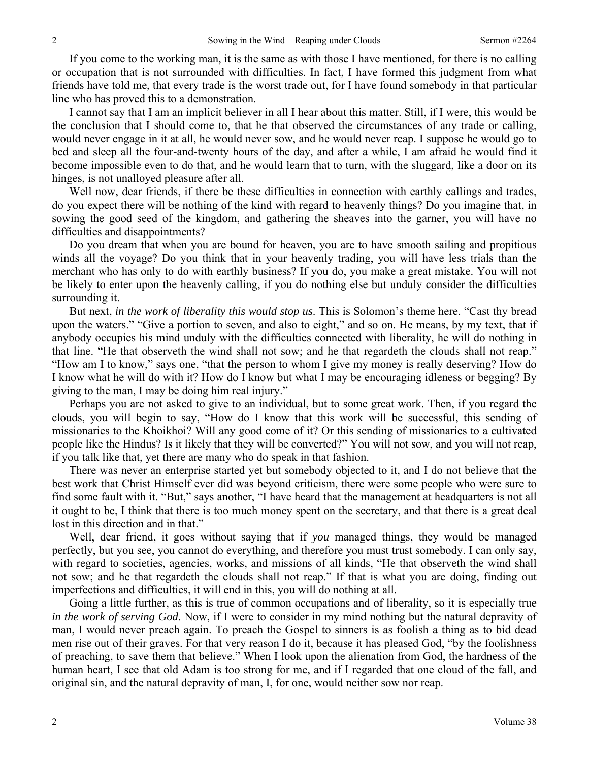If you come to the working man, it is the same as with those I have mentioned, for there is no calling or occupation that is not surrounded with difficulties. In fact, I have formed this judgment from what friends have told me, that every trade is the worst trade out, for I have found somebody in that particular line who has proved this to a demonstration.

I cannot say that I am an implicit believer in all I hear about this matter. Still, if I were, this would be the conclusion that I should come to, that he that observed the circumstances of any trade or calling, would never engage in it at all, he would never sow, and he would never reap. I suppose he would go to bed and sleep all the four-and-twenty hours of the day, and after a while, I am afraid he would find it become impossible even to do that, and he would learn that to turn, with the sluggard, like a door on its hinges, is not unalloyed pleasure after all.

Well now, dear friends, if there be these difficulties in connection with earthly callings and trades, do you expect there will be nothing of the kind with regard to heavenly things? Do you imagine that, in sowing the good seed of the kingdom, and gathering the sheaves into the garner, you will have no difficulties and disappointments?

Do you dream that when you are bound for heaven, you are to have smooth sailing and propitious winds all the voyage? Do you think that in your heavenly trading, you will have less trials than the merchant who has only to do with earthly business? If you do, you make a great mistake. You will not be likely to enter upon the heavenly calling, if you do nothing else but unduly consider the difficulties surrounding it.

But next, *in the work of liberality this would stop us*. This is Solomon's theme here. "Cast thy bread upon the waters." "Give a portion to seven, and also to eight," and so on. He means, by my text, that if anybody occupies his mind unduly with the difficulties connected with liberality, he will do nothing in that line. "He that observeth the wind shall not sow; and he that regardeth the clouds shall not reap." "How am I to know," says one, "that the person to whom I give my money is really deserving? How do I know what he will do with it? How do I know but what I may be encouraging idleness or begging? By giving to the man, I may be doing him real injury."

Perhaps you are not asked to give to an individual, but to some great work. Then, if you regard the clouds, you will begin to say, "How do I know that this work will be successful, this sending of missionaries to the Khoikhoi? Will any good come of it? Or this sending of missionaries to a cultivated people like the Hindus? Is it likely that they will be converted?" You will not sow, and you will not reap, if you talk like that, yet there are many who do speak in that fashion.

There was never an enterprise started yet but somebody objected to it, and I do not believe that the best work that Christ Himself ever did was beyond criticism, there were some people who were sure to find some fault with it. "But," says another, "I have heard that the management at headquarters is not all it ought to be, I think that there is too much money spent on the secretary, and that there is a great deal lost in this direction and in that."

Well, dear friend, it goes without saying that if *you* managed things, they would be managed perfectly, but you see, you cannot do everything, and therefore you must trust somebody. I can only say, with regard to societies, agencies, works, and missions of all kinds, "He that observeth the wind shall not sow; and he that regardeth the clouds shall not reap." If that is what you are doing, finding out imperfections and difficulties, it will end in this, you will do nothing at all.

Going a little further, as this is true of common occupations and of liberality, so it is especially true *in the work of serving God*. Now, if I were to consider in my mind nothing but the natural depravity of man, I would never preach again. To preach the Gospel to sinners is as foolish a thing as to bid dead men rise out of their graves. For that very reason I do it, because it has pleased God, "by the foolishness of preaching, to save them that believe." When I look upon the alienation from God, the hardness of the human heart, I see that old Adam is too strong for me, and if I regarded that one cloud of the fall, and original sin, and the natural depravity of man, I, for one, would neither sow nor reap.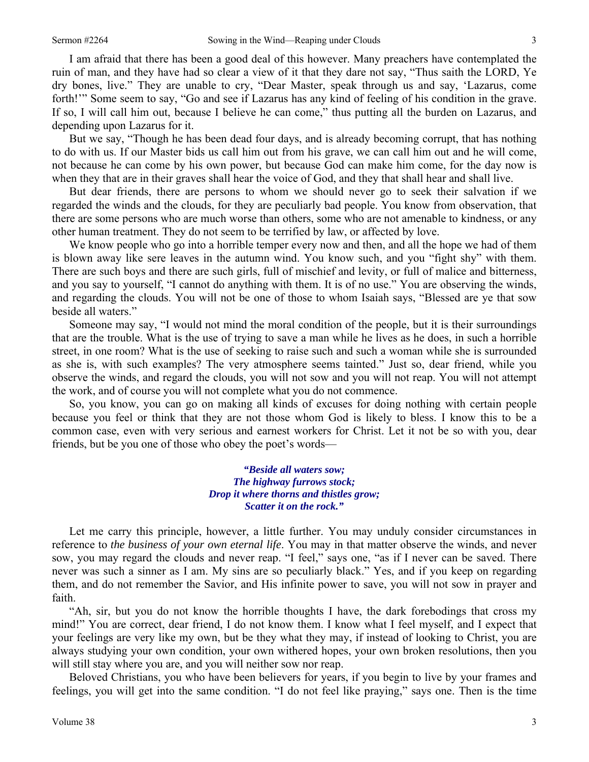I am afraid that there has been a good deal of this however. Many preachers have contemplated the ruin of man, and they have had so clear a view of it that they dare not say, "Thus saith the LORD, Ye dry bones, live." They are unable to cry, "Dear Master, speak through us and say, 'Lazarus, come forth!"" Some seem to say, "Go and see if Lazarus has any kind of feeling of his condition in the grave. If so, I will call him out, because I believe he can come," thus putting all the burden on Lazarus, and depending upon Lazarus for it.

But we say, "Though he has been dead four days, and is already becoming corrupt, that has nothing to do with us. If our Master bids us call him out from his grave, we can call him out and he will come, not because he can come by his own power, but because God can make him come, for the day now is when they that are in their graves shall hear the voice of God, and they that shall hear and shall live.

But dear friends, there are persons to whom we should never go to seek their salvation if we regarded the winds and the clouds, for they are peculiarly bad people. You know from observation, that there are some persons who are much worse than others, some who are not amenable to kindness, or any other human treatment. They do not seem to be terrified by law, or affected by love.

We know people who go into a horrible temper every now and then, and all the hope we had of them is blown away like sere leaves in the autumn wind. You know such, and you "fight shy" with them. There are such boys and there are such girls, full of mischief and levity, or full of malice and bitterness, and you say to yourself, "I cannot do anything with them. It is of no use." You are observing the winds, and regarding the clouds. You will not be one of those to whom Isaiah says, "Blessed are ye that sow beside all waters."

Someone may say, "I would not mind the moral condition of the people, but it is their surroundings that are the trouble. What is the use of trying to save a man while he lives as he does, in such a horrible street, in one room? What is the use of seeking to raise such and such a woman while she is surrounded as she is, with such examples? The very atmosphere seems tainted." Just so, dear friend, while you observe the winds, and regard the clouds, you will not sow and you will not reap. You will not attempt the work, and of course you will not complete what you do not commence.

So, you know, you can go on making all kinds of excuses for doing nothing with certain people because you feel or think that they are not those whom God is likely to bless. I know this to be a common case, even with very serious and earnest workers for Christ. Let it not be so with you, dear friends, but be you one of those who obey the poet's words—

> *"Beside all waters sow; The highway furrows stock; Drop it where thorns and thistles grow; Scatter it on the rock."*

Let me carry this principle, however, a little further. You may unduly consider circumstances in reference to *the business of your own eternal life*. You may in that matter observe the winds, and never sow, you may regard the clouds and never reap. "I feel," says one, "as if I never can be saved. There never was such a sinner as I am. My sins are so peculiarly black." Yes, and if you keep on regarding them, and do not remember the Savior, and His infinite power to save, you will not sow in prayer and faith.

"Ah, sir, but you do not know the horrible thoughts I have, the dark forebodings that cross my mind!" You are correct, dear friend, I do not know them. I know what I feel myself, and I expect that your feelings are very like my own, but be they what they may, if instead of looking to Christ, you are always studying your own condition, your own withered hopes, your own broken resolutions, then you will still stay where you are, and you will neither sow nor reap.

Beloved Christians, you who have been believers for years, if you begin to live by your frames and feelings, you will get into the same condition. "I do not feel like praying," says one. Then is the time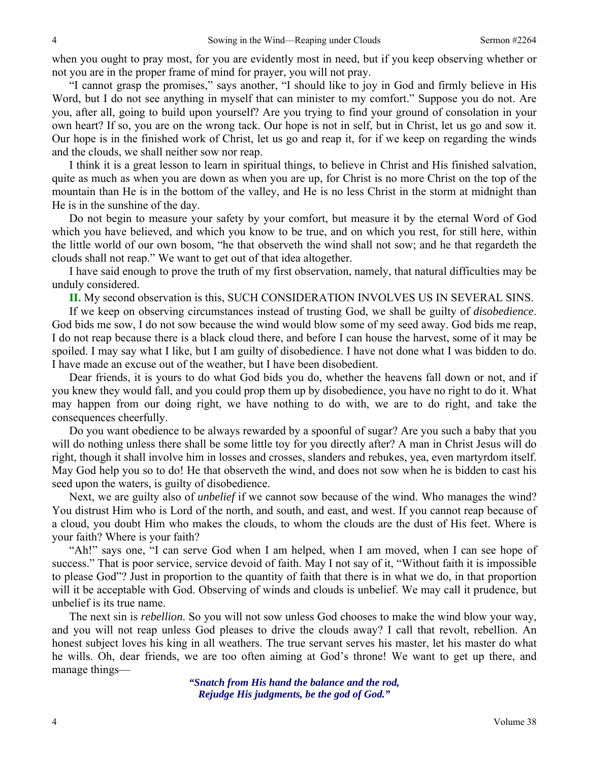when you ought to pray most, for you are evidently most in need, but if you keep observing whether or not you are in the proper frame of mind for prayer, you will not pray.

"I cannot grasp the promises," says another, "I should like to joy in God and firmly believe in His Word, but I do not see anything in myself that can minister to my comfort." Suppose you do not. Are you, after all, going to build upon yourself? Are you trying to find your ground of consolation in your own heart? If so, you are on the wrong tack. Our hope is not in self, but in Christ, let us go and sow it. Our hope is in the finished work of Christ, let us go and reap it, for if we keep on regarding the winds and the clouds, we shall neither sow nor reap.

I think it is a great lesson to learn in spiritual things, to believe in Christ and His finished salvation, quite as much as when you are down as when you are up, for Christ is no more Christ on the top of the mountain than He is in the bottom of the valley, and He is no less Christ in the storm at midnight than He is in the sunshine of the day.

Do not begin to measure your safety by your comfort, but measure it by the eternal Word of God which you have believed, and which you know to be true, and on which you rest, for still here, within the little world of our own bosom, "he that observeth the wind shall not sow; and he that regardeth the clouds shall not reap." We want to get out of that idea altogether.

I have said enough to prove the truth of my first observation, namely, that natural difficulties may be unduly considered.

**II.** My second observation is this, SUCH CONSIDERATION INVOLVES US IN SEVERAL SINS.

If we keep on observing circumstances instead of trusting God, we shall be guilty of *disobedience*. God bids me sow, I do not sow because the wind would blow some of my seed away. God bids me reap, I do not reap because there is a black cloud there, and before I can house the harvest, some of it may be spoiled. I may say what I like, but I am guilty of disobedience. I have not done what I was bidden to do. I have made an excuse out of the weather, but I have been disobedient.

Dear friends, it is yours to do what God bids you do, whether the heavens fall down or not, and if you knew they would fall, and you could prop them up by disobedience, you have no right to do it. What may happen from our doing right, we have nothing to do with, we are to do right, and take the consequences cheerfully.

Do you want obedience to be always rewarded by a spoonful of sugar? Are you such a baby that you will do nothing unless there shall be some little toy for you directly after? A man in Christ Jesus will do right, though it shall involve him in losses and crosses, slanders and rebukes, yea, even martyrdom itself. May God help you so to do! He that observeth the wind, and does not sow when he is bidden to cast his seed upon the waters, is guilty of disobedience.

Next, we are guilty also of *unbelief* if we cannot sow because of the wind. Who manages the wind? You distrust Him who is Lord of the north, and south, and east, and west. If you cannot reap because of a cloud, you doubt Him who makes the clouds, to whom the clouds are the dust of His feet. Where is your faith? Where is your faith?

"Ah!" says one, "I can serve God when I am helped, when I am moved, when I can see hope of success." That is poor service, service devoid of faith. May I not say of it, "Without faith it is impossible to please God"? Just in proportion to the quantity of faith that there is in what we do, in that proportion will it be acceptable with God. Observing of winds and clouds is unbelief. We may call it prudence, but unbelief is its true name.

The next sin is *rebellion*. So you will not sow unless God chooses to make the wind blow your way, and you will not reap unless God pleases to drive the clouds away? I call that revolt, rebellion. An honest subject loves his king in all weathers. The true servant serves his master, let his master do what he wills. Oh, dear friends, we are too often aiming at God's throne! We want to get up there, and manage things—

> *"Snatch from His hand the balance and the rod, Rejudge His judgments, be the god of God."*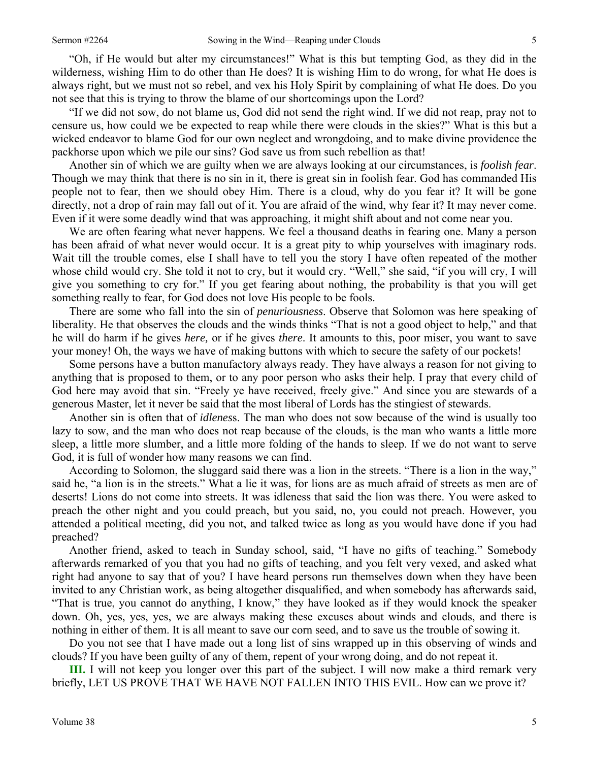"Oh, if He would but alter my circumstances!" What is this but tempting God, as they did in the wilderness, wishing Him to do other than He does? It is wishing Him to do wrong, for what He does is always right, but we must not so rebel, and vex his Holy Spirit by complaining of what He does. Do you not see that this is trying to throw the blame of our shortcomings upon the Lord?

"If we did not sow, do not blame us, God did not send the right wind. If we did not reap, pray not to censure us, how could we be expected to reap while there were clouds in the skies?" What is this but a wicked endeavor to blame God for our own neglect and wrongdoing, and to make divine providence the packhorse upon which we pile our sins? God save us from such rebellion as that!

Another sin of which we are guilty when we are always looking at our circumstances, is *foolish fear*. Though we may think that there is no sin in it, there is great sin in foolish fear. God has commanded His people not to fear, then we should obey Him. There is a cloud, why do you fear it? It will be gone directly, not a drop of rain may fall out of it. You are afraid of the wind, why fear it? It may never come. Even if it were some deadly wind that was approaching, it might shift about and not come near you.

We are often fearing what never happens. We feel a thousand deaths in fearing one. Many a person has been afraid of what never would occur. It is a great pity to whip yourselves with imaginary rods. Wait till the trouble comes, else I shall have to tell you the story I have often repeated of the mother whose child would cry. She told it not to cry, but it would cry. "Well," she said, "if you will cry, I will give you something to cry for." If you get fearing about nothing, the probability is that you will get something really to fear, for God does not love His people to be fools.

There are some who fall into the sin of *penuriousness*. Observe that Solomon was here speaking of liberality. He that observes the clouds and the winds thinks "That is not a good object to help," and that he will do harm if he gives *here,* or if he gives *there*. It amounts to this, poor miser, you want to save your money! Oh, the ways we have of making buttons with which to secure the safety of our pockets!

Some persons have a button manufactory always ready. They have always a reason for not giving to anything that is proposed to them, or to any poor person who asks their help. I pray that every child of God here may avoid that sin. "Freely ye have received, freely give." And since you are stewards of a generous Master, let it never be said that the most liberal of Lords has the stingiest of stewards.

Another sin is often that of *idlenes*s. The man who does not sow because of the wind is usually too lazy to sow, and the man who does not reap because of the clouds, is the man who wants a little more sleep, a little more slumber, and a little more folding of the hands to sleep. If we do not want to serve God, it is full of wonder how many reasons we can find.

According to Solomon, the sluggard said there was a lion in the streets. "There is a lion in the way," said he, "a lion is in the streets." What a lie it was, for lions are as much afraid of streets as men are of deserts! Lions do not come into streets. It was idleness that said the lion was there. You were asked to preach the other night and you could preach, but you said, no, you could not preach. However, you attended a political meeting, did you not, and talked twice as long as you would have done if you had preached?

Another friend, asked to teach in Sunday school, said, "I have no gifts of teaching." Somebody afterwards remarked of you that you had no gifts of teaching, and you felt very vexed, and asked what right had anyone to say that of you? I have heard persons run themselves down when they have been invited to any Christian work, as being altogether disqualified, and when somebody has afterwards said, "That is true, you cannot do anything, I know," they have looked as if they would knock the speaker down. Oh, yes, yes, yes, we are always making these excuses about winds and clouds, and there is nothing in either of them. It is all meant to save our corn seed, and to save us the trouble of sowing it.

Do you not see that I have made out a long list of sins wrapped up in this observing of winds and clouds? If you have been guilty of any of them, repent of your wrong doing, and do not repeat it.

**III.** I will not keep you longer over this part of the subject. I will now make a third remark very briefly, LET US PROVE THAT WE HAVE NOT FALLEN INTO THIS EVIL. How can we prove it?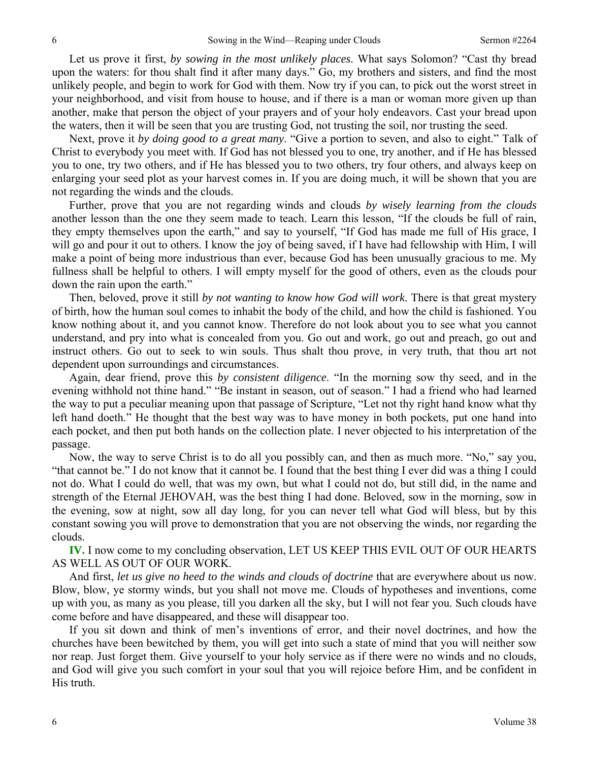Let us prove it first, *by sowing in the most unlikely places*. What says Solomon? "Cast thy bread upon the waters: for thou shalt find it after many days." Go, my brothers and sisters, and find the most unlikely people, and begin to work for God with them. Now try if you can, to pick out the worst street in your neighborhood, and visit from house to house, and if there is a man or woman more given up than another, make that person the object of your prayers and of your holy endeavors. Cast your bread upon the waters, then it will be seen that you are trusting God, not trusting the soil, nor trusting the seed.

Next, prove it *by doing good to a great many*. "Give a portion to seven, and also to eight." Talk of Christ to everybody you meet with. If God has not blessed you to one, try another, and if He has blessed you to one, try two others, and if He has blessed you to two others, try four others, and always keep on enlarging your seed plot as your harvest comes in. If you are doing much, it will be shown that you are not regarding the winds and the clouds.

Further, prove that you are not regarding winds and clouds *by wisely learning from the clouds*  another lesson than the one they seem made to teach. Learn this lesson, "If the clouds be full of rain, they empty themselves upon the earth," and say to yourself, "If God has made me full of His grace, I will go and pour it out to others. I know the joy of being saved, if I have had fellowship with Him, I will make a point of being more industrious than ever, because God has been unusually gracious to me. My fullness shall be helpful to others. I will empty myself for the good of others, even as the clouds pour down the rain upon the earth."

Then, beloved, prove it still *by not wanting to know how God will work*. There is that great mystery of birth, how the human soul comes to inhabit the body of the child, and how the child is fashioned. You know nothing about it, and you cannot know. Therefore do not look about you to see what you cannot understand, and pry into what is concealed from you. Go out and work, go out and preach, go out and instruct others. Go out to seek to win souls. Thus shalt thou prove, in very truth, that thou art not dependent upon surroundings and circumstances.

Again, dear friend, prove this *by consistent diligence*. "In the morning sow thy seed, and in the evening withhold not thine hand." "Be instant in season, out of season." I had a friend who had learned the way to put a peculiar meaning upon that passage of Scripture, "Let not thy right hand know what thy left hand doeth." He thought that the best way was to have money in both pockets, put one hand into each pocket, and then put both hands on the collection plate. I never objected to his interpretation of the passage.

Now, the way to serve Christ is to do all you possibly can, and then as much more. "No," say you, "that cannot be." I do not know that it cannot be. I found that the best thing I ever did was a thing I could not do. What I could do well, that was my own, but what I could not do, but still did, in the name and strength of the Eternal JEHOVAH, was the best thing I had done. Beloved, sow in the morning, sow in the evening, sow at night, sow all day long, for you can never tell what God will bless, but by this constant sowing you will prove to demonstration that you are not observing the winds, nor regarding the clouds.

**IV.** I now come to my concluding observation, LET US KEEP THIS EVIL OUT OF OUR HEARTS AS WELL AS OUT OF OUR WORK.

And first, *let us give no heed to the winds and clouds of doctrine* that are everywhere about us now. Blow, blow, ye stormy winds, but you shall not move me. Clouds of hypotheses and inventions, come up with you, as many as you please, till you darken all the sky, but I will not fear you. Such clouds have come before and have disappeared, and these will disappear too.

If you sit down and think of men's inventions of error, and their novel doctrines, and how the churches have been bewitched by them, you will get into such a state of mind that you will neither sow nor reap. Just forget them. Give yourself to your holy service as if there were no winds and no clouds, and God will give you such comfort in your soul that you will rejoice before Him, and be confident in His truth.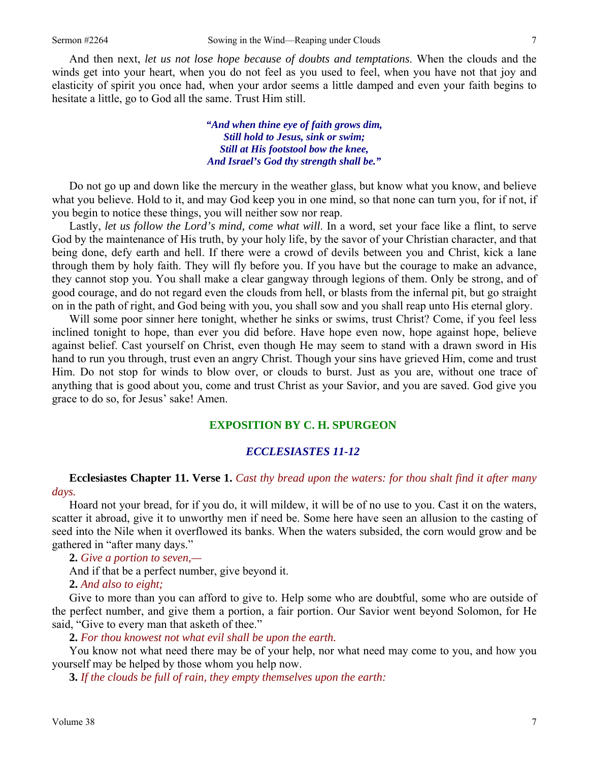And then next, *let us not lose hope because of doubts and temptations*. When the clouds and the winds get into your heart, when you do not feel as you used to feel, when you have not that joy and elasticity of spirit you once had, when your ardor seems a little damped and even your faith begins to hesitate a little, go to God all the same. Trust Him still.

> *"And when thine eye of faith grows dim, Still hold to Jesus, sink or swim; Still at His footstool bow the knee, And Israel's God thy strength shall be."*

Do not go up and down like the mercury in the weather glass, but know what you know, and believe what you believe. Hold to it, and may God keep you in one mind, so that none can turn you, for if not, if you begin to notice these things, you will neither sow nor reap.

Lastly, *let us follow the Lord's mind, come what will*. In a word, set your face like a flint, to serve God by the maintenance of His truth, by your holy life, by the savor of your Christian character, and that being done, defy earth and hell. If there were a crowd of devils between you and Christ, kick a lane through them by holy faith. They will fly before you. If you have but the courage to make an advance, they cannot stop you. You shall make a clear gangway through legions of them. Only be strong, and of good courage, and do not regard even the clouds from hell, or blasts from the infernal pit, but go straight on in the path of right, and God being with you, you shall sow and you shall reap unto His eternal glory.

Will some poor sinner here tonight, whether he sinks or swims, trust Christ? Come, if you feel less inclined tonight to hope, than ever you did before. Have hope even now, hope against hope, believe against belief. Cast yourself on Christ, even though He may seem to stand with a drawn sword in His hand to run you through, trust even an angry Christ. Though your sins have grieved Him, come and trust Him. Do not stop for winds to blow over, or clouds to burst. Just as you are, without one trace of anything that is good about you, come and trust Christ as your Savior, and you are saved. God give you grace to do so, for Jesus' sake! Amen.

#### **EXPOSITION BY C. H. SPURGEON**

#### *ECCLESIASTES 11-12*

### **Ecclesiastes Chapter 11. Verse 1.** *Cast thy bread upon the waters: for thou shalt find it after many days.*

Hoard not your bread, for if you do, it will mildew, it will be of no use to you. Cast it on the waters, scatter it abroad, give it to unworthy men if need be. Some here have seen an allusion to the casting of seed into the Nile when it overflowed its banks. When the waters subsided, the corn would grow and be gathered in "after many days."

**2.** *Give a portion to seven,—* 

And if that be a perfect number, give beyond it.

**2.** *And also to eight;* 

Give to more than you can afford to give to. Help some who are doubtful, some who are outside of the perfect number, and give them a portion, a fair portion. Our Savior went beyond Solomon, for He said, "Give to every man that asketh of thee."

**2.** *For thou knowest not what evil shall be upon the earth.* 

You know not what need there may be of your help, nor what need may come to you, and how you yourself may be helped by those whom you help now.

**3.** *If the clouds be full of rain, they empty themselves upon the earth:*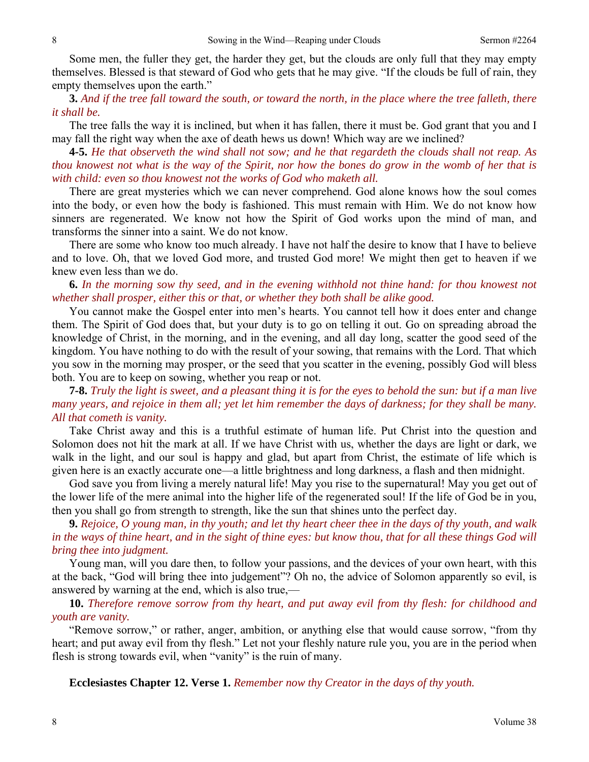Some men, the fuller they get, the harder they get, but the clouds are only full that they may empty themselves. Blessed is that steward of God who gets that he may give. "If the clouds be full of rain, they empty themselves upon the earth."

**3.** *And if the tree fall toward the south, or toward the north, in the place where the tree falleth, there it shall be.* 

The tree falls the way it is inclined, but when it has fallen, there it must be. God grant that you and I may fall the right way when the axe of death hews us down! Which way are we inclined?

**4-5.** *He that observeth the wind shall not sow; and he that regardeth the clouds shall not reap. As thou knowest not what is the way of the Spirit, nor how the bones do grow in the womb of her that is with child: even so thou knowest not the works of God who maketh all.*

There are great mysteries which we can never comprehend. God alone knows how the soul comes into the body, or even how the body is fashioned. This must remain with Him. We do not know how sinners are regenerated. We know not how the Spirit of God works upon the mind of man, and transforms the sinner into a saint. We do not know.

There are some who know too much already. I have not half the desire to know that I have to believe and to love. Oh, that we loved God more, and trusted God more! We might then get to heaven if we knew even less than we do.

**6.** *In the morning sow thy seed, and in the evening withhold not thine hand: for thou knowest not whether shall prosper, either this or that, or whether they both shall be alike good.* 

You cannot make the Gospel enter into men's hearts. You cannot tell how it does enter and change them. The Spirit of God does that, but your duty is to go on telling it out. Go on spreading abroad the knowledge of Christ, in the morning, and in the evening, and all day long, scatter the good seed of the kingdom. You have nothing to do with the result of your sowing, that remains with the Lord. That which you sow in the morning may prosper, or the seed that you scatter in the evening, possibly God will bless both. You are to keep on sowing, whether you reap or not.

**7-8.** *Truly the light is sweet, and a pleasant thing it is for the eyes to behold the sun: but if a man live many years, and rejoice in them all; yet let him remember the days of darkness; for they shall be many. All that cometh is vanity.* 

Take Christ away and this is a truthful estimate of human life. Put Christ into the question and Solomon does not hit the mark at all. If we have Christ with us, whether the days are light or dark, we walk in the light, and our soul is happy and glad, but apart from Christ, the estimate of life which is given here is an exactly accurate one—a little brightness and long darkness, a flash and then midnight.

God save you from living a merely natural life! May you rise to the supernatural! May you get out of the lower life of the mere animal into the higher life of the regenerated soul! If the life of God be in you, then you shall go from strength to strength, like the sun that shines unto the perfect day.

**9.** *Rejoice, O young man, in thy youth; and let thy heart cheer thee in the days of thy youth, and walk in the ways of thine heart, and in the sight of thine eyes: but know thou, that for all these things God will bring thee into judgment.* 

Young man, will you dare then, to follow your passions, and the devices of your own heart, with this at the back, "God will bring thee into judgement"? Oh no, the advice of Solomon apparently so evil, is answered by warning at the end, which is also true,—

**10.** *Therefore remove sorrow from thy heart, and put away evil from thy flesh: for childhood and youth are vanity.* 

"Remove sorrow," or rather, anger, ambition, or anything else that would cause sorrow, "from thy heart; and put away evil from thy flesh." Let not your fleshly nature rule you, you are in the period when flesh is strong towards evil, when "vanity" is the ruin of many.

**Ecclesiastes Chapter 12. Verse 1.** *Remember now thy Creator in the days of thy youth.*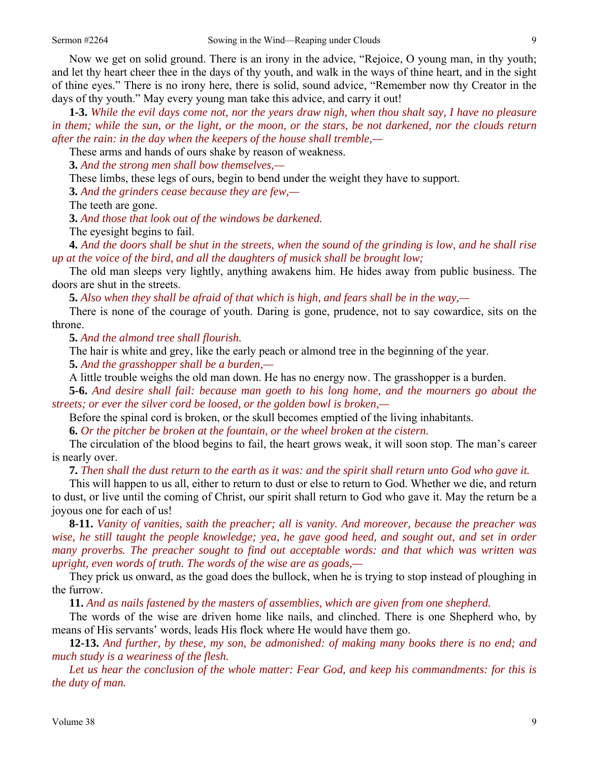Now we get on solid ground. There is an irony in the advice, "Rejoice, O young man, in thy youth; and let thy heart cheer thee in the days of thy youth, and walk in the ways of thine heart, and in the sight of thine eyes." There is no irony here, there is solid, sound advice, "Remember now thy Creator in the days of thy youth." May every young man take this advice, and carry it out!

**1-3.** *While the evil days come not, nor the years draw nigh, when thou shalt say, I have no pleasure in them; while the sun, or the light, or the moon, or the stars, be not darkened, nor the clouds return after the rain: in the day when the keepers of the house shall tremble,—* 

These arms and hands of ours shake by reason of weakness.

**3.** *And the strong men shall bow themselves,—* 

These limbs, these legs of ours, begin to bend under the weight they have to support.

**3.** *And the grinders cease because they are few,—* 

The teeth are gone.

**3.** *And those that look out of the windows be darkened.* 

The eyesight begins to fail.

**4.** *And the doors shall be shut in the streets, when the sound of the grinding is low, and he shall rise up at the voice of the bird, and all the daughters of musick shall be brought low;* 

The old man sleeps very lightly, anything awakens him. He hides away from public business. The doors are shut in the streets.

**5.** *Also when they shall be afraid of that which is high, and fears shall be in the way,—* 

There is none of the courage of youth. Daring is gone, prudence, not to say cowardice, sits on the throne.

**5.** *And the almond tree shall flourish.* 

The hair is white and grey, like the early peach or almond tree in the beginning of the year.

**5.** *And the grasshopper shall be a burden,—* 

A little trouble weighs the old man down. He has no energy now. The grasshopper is a burden.

**5-6.** *And desire shall fail: because man goeth to his long home, and the mourners go about the streets; or ever the silver cord be loosed, or the golden bowl is broken,—* 

Before the spinal cord is broken, or the skull becomes emptied of the living inhabitants.

**6.** *Or the pitcher be broken at the fountain, or the wheel broken at the cistern.* 

The circulation of the blood begins to fail, the heart grows weak, it will soon stop. The man's career is nearly over.

**7.** *Then shall the dust return to the earth as it was: and the spirit shall return unto God who gave it.* 

This will happen to us all, either to return to dust or else to return to God. Whether we die, and return to dust, or live until the coming of Christ, our spirit shall return to God who gave it. May the return be a joyous one for each of us!

**8-11.** *Vanity of vanities, saith the preacher; all is vanity. And moreover, because the preacher was wise, he still taught the people knowledge; yea, he gave good heed, and sought out, and set in order many proverbs. The preacher sought to find out acceptable words: and that which was written was upright, even words of truth. The words of the wise are as goads,—* 

They prick us onward, as the goad does the bullock, when he is trying to stop instead of ploughing in the furrow.

**11.** *And as nails fastened by the masters of assemblies, which are given from one shepherd.* 

The words of the wise are driven home like nails, and clinched. There is one Shepherd who, by means of His servants' words, leads His flock where He would have them go.

**12-13.** *And further, by these, my son, be admonished: of making many books there is no end; and much study is a weariness of the flesh.* 

*Let us hear the conclusion of the whole matter: Fear God, and keep his commandments: for this is the duty of man.*